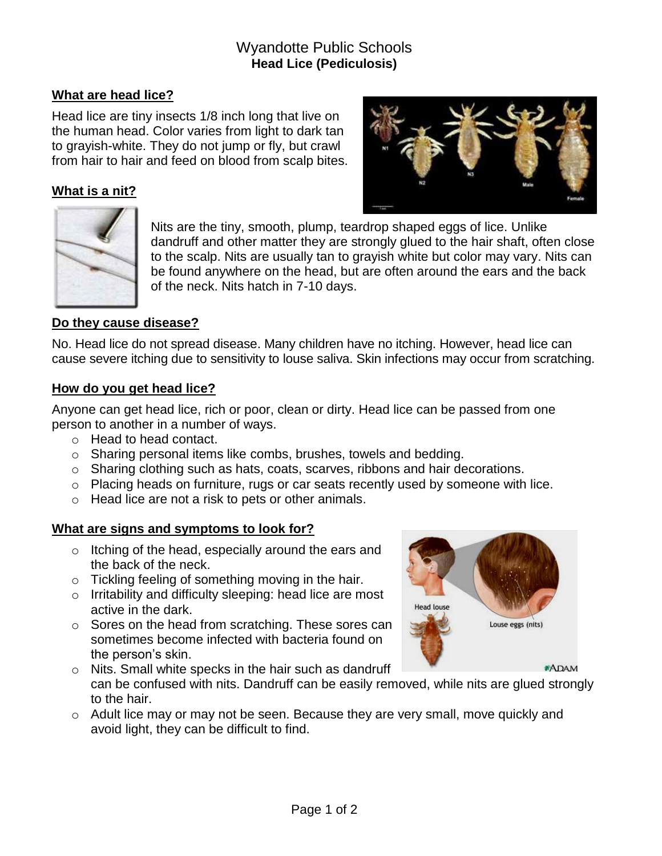# Wyandotte Public Schools **Head Lice (Pediculosis)**

# **What are head lice?**

Head lice are tiny insects 1/8 inch long that live on the human head. Color varies from light to dark tan to grayish-white. They do not jump or fly, but crawl from hair to hair and feed on blood from scalp bites.

## **What is a nit?**





Nits are the tiny, smooth, plump, teardrop shaped eggs of lice. Unlike dandruff and other matter they are strongly glued to the hair shaft, often close to the scalp. Nits are usually tan to grayish white but color may vary. Nits can be found anywhere on the head, but are often around the ears and the back of the neck. Nits hatch in 7-10 days.

#### **Do they cause disease?**

No. Head lice do not spread disease. Many children have no itching. However, head lice can cause severe itching due to sensitivity to louse saliva. Skin infections may occur from scratching.

#### **How do you get head lice?**

Anyone can get head lice, rich or poor, clean or dirty. Head lice can be passed from one person to another in a number of ways.

- o Head to head contact.
- o Sharing personal items like combs, brushes, towels and bedding.
- o Sharing clothing such as hats, coats, scarves, ribbons and hair decorations.
- o Placing heads on furniture, rugs or car seats recently used by someone with lice.
- o Head lice are not a risk to pets or other animals.

### **What are signs and symptoms to look for?**

- o Itching of the head, especially around the ears and the back of the neck.
- o Tickling feeling of something moving in the hair.
- o Irritability and difficulty sleeping: head lice are most active in the dark.
- o Sores on the head from scratching. These sores can sometimes become infected with bacteria found on the person's skin.



- o Nits. Small white specks in the hair such as dandruff can be confused with nits. Dandruff can be easily removed, while nits are glued strongly to the hair.
- $\circ$  Adult lice may or may not be seen. Because they are very small, move quickly and avoid light, they can be difficult to find.